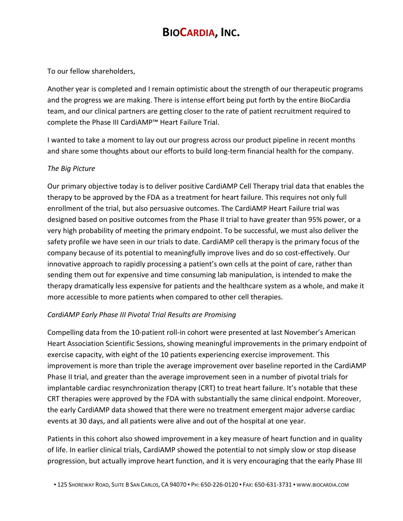# **BIOCARDIA, INC.**

To our fellow shareholders,

Another year is completed and I remain optimistic about the strength of our therapeutic programs and the progress we are making. There is intense effort being put forth by the entire BioCardia team, and our clinical partners are getting closer to the rate of patient recruitment required to complete the Phase III CardiAMP™ Heart Failure Trial.

I wanted to take a moment to lay out our progress across our product pipeline in recent months and share some thoughts about our efforts to build long-term financial health for the company.

## *The Big Picture*

Our primary objective today is to deliver positive CardiAMP Cell Therapy trial data that enables the therapy to be approved by the FDA as a treatment for heart failure. This requires not only full enrollment of the trial, but also persuasive outcomes. The CardiAMP Heart Failure trial was designed based on positive outcomes from the Phase II trial to have greater than 95% power, or a very high probability of meeting the primary endpoint. To be successful, we must also deliver the safety profile we have seen in our trials to date. CardiAMP cell therapy is the primary focus of the company because of its potential to meaningfully improve lives and do so cost-effectively. Our innovative approach to rapidly processing a patient's own cells at the point of care, rather than sending them out for expensive and time consuming lab manipulation, is intended to make the therapy dramatically less expensive for patients and the healthcare system as a whole, and make it more accessible to more patients when compared to other cell therapies.

## *CardiAMP Early Phase III Pivotal Trial Results are Promising*

Compelling data from the 10-patient roll-in cohort were presented at last November's American Heart Association Scientific Sessions, showing meaningful improvements in the primary endpoint of exercise capacity, with eight of the 10 patients experiencing exercise improvement. This improvement is more than triple the average improvement over baseline reported in the CardiAMP Phase II trial, and greater than the average improvement seen in a number of pivotal trials for implantable cardiac resynchronization therapy (CRT) to treat heart failure. It's notable that these CRT therapies were approved by the FDA with substantially the same clinical endpoint. Moreover, the early CardiAMP data showed that there were no treatment emergent major adverse cardiac events at 30 days, and all patients were alive and out of the hospital at one year.

Patients in this cohort also showed improvement in a key measure of heart function and in quality of life. In earlier clinical trials, CardiAMP showed the potential to not simply slow or stop disease progression, but actually improve heart function, and it is very encouraging that the early Phase III

<sup>▪</sup> 125 SHOREWAY ROAD, SUITE B SAN CARLOS, CA 94070 ▪ PH: 650-226-0120 ▪ FAX: 650-631-3731 ▪ WWW.BIOCARDIA.COM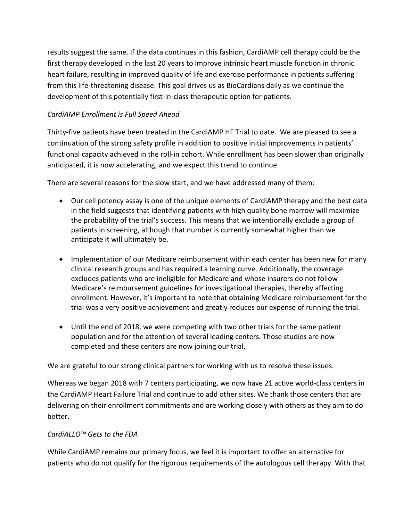results suggest the same. If the data continues in this fashion, CardiAMP cell therapy could be the first therapy developed in the last 20 years to improve intrinsic heart muscle function in chronic heart failure, resulting in improved quality of life and exercise performance in patients suffering from this life-threatening disease. This goal drives us as BioCardians daily as we continue the development of this potentially first-in-class therapeutic option for patients.

## *CardiAMP Enrollment is Full Speed Ahead*

Thirty-five patients have been treated in the CardiAMP HF Trial to date. We are pleased to see a continuation of the strong safety profile in addition to positive initial improvements in patients' functional capacity achieved in the roll-in cohort. While enrollment has been slower than originally anticipated, it is now accelerating, and we expect this trend to continue.

There are several reasons for the slow start, and we have addressed many of them:

- Our cell potency assay is one of the unique elements of CardiAMP therapy and the best data in the field suggests that identifying patients with high quality bone marrow will maximize the probability of the trial's success. This means that we intentionally exclude a group of patients in screening, although that number is currently somewhat higher than we anticipate it will ultimately be.
- Implementation of our Medicare reimbursement within each center has been new for many clinical research groups and has required a learning curve. Additionally, the coverage excludes patients who are ineligible for Medicare and whose insurers do not follow Medicare's reimbursement guidelines for investigational therapies, thereby affecting enrollment. However, it's important to note that obtaining Medicare reimbursement for the trial was a very positive achievement and greatly reduces our expense of running the trial.
- Until the end of 2018, we were competing with two other trials for the same patient population and for the attention of several leading centers. Those studies are now completed and these centers are now joining our trial.

We are grateful to our strong clinical partners for working with us to resolve these issues.

Whereas we began 2018 with 7 centers participating, we now have 21 active world-class centers in the CardiAMP Heart Failure Trial and continue to add other sites. We thank those centers that are delivering on their enrollment commitments and are working closely with others as they aim to do better.

### *CardiALLO™ Gets to the FDA*

While CardiAMP remains our primary focus, we feel it is important to offer an alternative for patients who do not qualify for the rigorous requirements of the autologous cell therapy. With that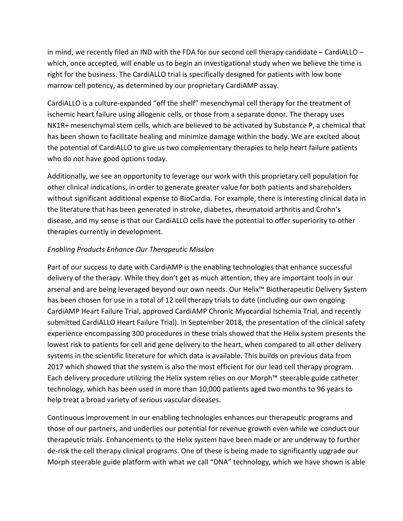in mind, we recently filed an IND with the FDA for our second cell therapy candidate – CardiALLO – which, once accepted, will enable us to begin an investigational study when we believe the time is right for the business. The CardiALLO trial is specifically designed for patients with low bone marrow cell potency, as determined by our proprietary CardiAMP assay.

CardiALLO is a culture-expanded "off the shelf" mesenchymal cell therapy for the treatment of ischemic heart failure using allogenic cells, or those from a separate donor. The therapy uses NK1R+ mesenchymal stem cells, which are believed to be activated by Substance P, a chemical that has been shown to facilitate healing and minimize damage within the body. We are excited about the potential of CardiALLO to give us two complementary therapies to help heart failure patients who do not have good options today.

Additionally, we see an opportunity to leverage our work with this proprietary cell population for other clinical indications, in order to generate greater value for both patients and shareholders without significant additional expense to BioCardia. For example, there is interesting clinical data in the literature that has been generated in stroke, diabetes, rheumatoid arthritis and Crohn's disease, and my sense is that our CardiALLO cells have the potential to offer superiority to other therapies currently in development.

## *Enabling Products Enhance Our Therapeutic Mission*

Part of our success to date with CardiAMP is the enabling technologies that enhance successful delivery of the therapy. While they don't get as much attention, they are important tools in our arsenal and are being leveraged beyond our own needs. Our Helix™ Biotherapeutic Delivery System has been chosen for use in a total of 12 cell therapy trials to date (including our own ongoing CardiAMP Heart Failure Trial, approved CardiAMP Chronic Myocardial Ischemia Trial, and recently submitted CardiALLO Heart Failure Trial). In September 2018, the presentation of the clinical safety experience encompassing 300 procedures in these trials showed that the Helix system presents the lowest risk to patients for cell and gene delivery to the heart, when compared to all other delivery systems in the scientific literature for which data is available. This builds on previous data from 2017 which showed that the system is also the most efficient for our lead cell therapy program. Each delivery procedure utilizing the Helix system relies on our Morph™ steerable guide catheter technology, which has been used in more than 10,000 patients aged two months to 96 years to help treat a broad variety of serious vascular diseases.

Continuous improvement in our enabling technologies enhances our therapeutic programs and those of our partners, and underlies our potential for revenue growth even while we conduct our therapeutic trials. Enhancements to the Helix system have been made or are underway to further de-risk the cell therapy clinical programs. One of these is being made to significantly upgrade our Morph steerable guide platform with what we call "DNA" technology, which we have shown is able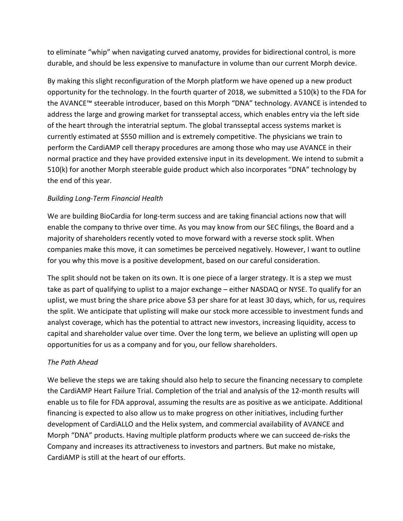to eliminate "whip" when navigating curved anatomy, provides for bidirectional control, is more durable, and should be less expensive to manufacture in volume than our current Morph device.

By making this slight reconfiguration of the Morph platform we have opened up a new product opportunity for the technology. In the fourth quarter of 2018, we submitted a 510(k) to the FDA for the AVANCE™ steerable introducer, based on this Morph "DNA" technology. AVANCE is intended to address the large and growing market for transseptal access, which enables entry via the left side of the heart through the interatrial septum. The global transseptal access systems market is currently estimated at \$550 million and is extremely competitive. The physicians we train to perform the CardiAMP cell therapy procedures are among those who may use AVANCE in their normal practice and they have provided extensive input in its development. We intend to submit a 510(k) for another Morph steerable guide product which also incorporates "DNA" technology by the end of this year.

## *Building Long-Term Financial Health*

We are building BioCardia for long-term success and are taking financial actions now that will enable the company to thrive over time. As you may know from our SEC filings, the Board and a majority of shareholders recently voted to move forward with a reverse stock split. When companies make this move, it can sometimes be perceived negatively. However, I want to outline for you why this move is a positive development, based on our careful consideration.

The split should not be taken on its own. It is one piece of a larger strategy. It is a step we must take as part of qualifying to uplist to a major exchange – either NASDAQ or NYSE. To qualify for an uplist, we must bring the share price above \$3 per share for at least 30 days, which, for us, requires the split. We anticipate that uplisting will make our stock more accessible to investment funds and analyst coverage, which has the potential to attract new investors, increasing liquidity, access to capital and shareholder value over time. Over the long term, we believe an uplisting will open up opportunities for us as a company and for you, our fellow shareholders.

## *The Path Ahead*

We believe the steps we are taking should also help to secure the financing necessary to complete the CardiAMP Heart Failure Trial. Completion of the trial and analysis of the 12-month results will enable us to file for FDA approval, assuming the results are as positive as we anticipate. Additional financing is expected to also allow us to make progress on other initiatives, including further development of CardiALLO and the Helix system, and commercial availability of AVANCE and Morph "DNA" products. Having multiple platform products where we can succeed de-risks the Company and increases its attractiveness to investors and partners. But make no mistake, CardiAMP is still at the heart of our efforts.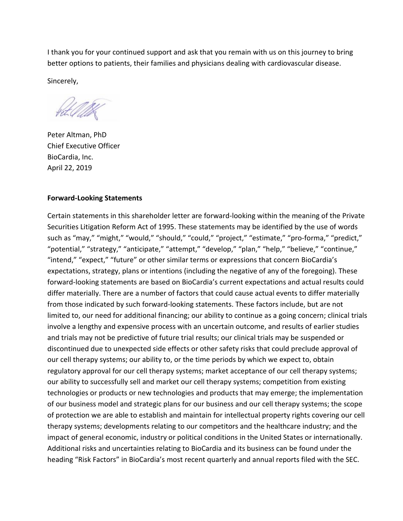I thank you for your continued support and ask that you remain with us on this journey to bring better options to patients, their families and physicians dealing with cardiovascular disease.

Sincerely,

Peter Altman, PhD Chief Executive Officer BioCardia, Inc. April 22, 2019

#### **Forward-Looking Statements**

Certain statements in this shareholder letter are forward-looking within the meaning of the Private Securities Litigation Reform Act of 1995. These statements may be identified by the use of words such as "may," "might," "would," "should," "could," "project," "estimate," "pro-forma," "predict," "potential," "strategy," "anticipate," "attempt," "develop," "plan," "help," "believe," "continue," "intend," "expect," "future" or other similar terms or expressions that concern BioCardia's expectations, strategy, plans or intentions (including the negative of any of the foregoing). These forward-looking statements are based on BioCardia's current expectations and actual results could differ materially. There are a number of factors that could cause actual events to differ materially from those indicated by such forward-looking statements. These factors include, but are not limited to, our need for additional financing; our ability to continue as a going concern; clinical trials involve a lengthy and expensive process with an uncertain outcome, and results of earlier studies and trials may not be predictive of future trial results; our clinical trials may be suspended or discontinued due to unexpected side effects or other safety risks that could preclude approval of our cell therapy systems; our ability to, or the time periods by which we expect to, obtain regulatory approval for our cell therapy systems; market acceptance of our cell therapy systems; our ability to successfully sell and market our cell therapy systems; competition from existing technologies or products or new technologies and products that may emerge; the implementation of our business model and strategic plans for our business and our cell therapy systems; the scope of protection we are able to establish and maintain for intellectual property rights covering our cell therapy systems; developments relating to our competitors and the healthcare industry; and the impact of general economic, industry or political conditions in the United States or internationally. Additional risks and uncertainties relating to BioCardia and its business can be found under the heading "Risk Factors" in BioCardia's most recent quarterly and annual reports filed with the SEC.